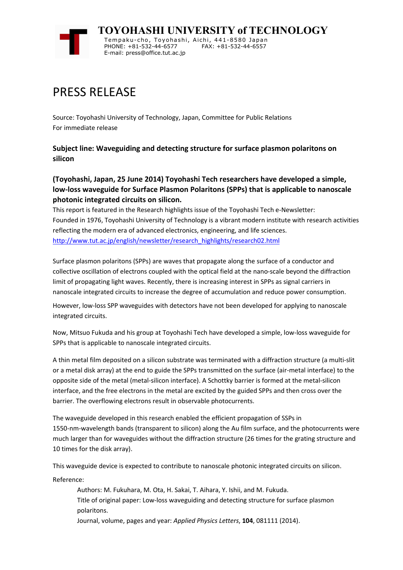

## PRESS RELEASE

Source: Toyohashi University of Technology, Japan, Committee for Public Relations For immediate release

**Subject line: Waveguiding and detecting structure for surface plasmon polaritons on silicon**

## **(Toyohashi, Japan, 25 June 2014) Toyohashi Tech researchers have developed a simple, low-loss waveguide for Surface Plasmon Polaritons (SPPs) that is applicable to nanoscale photonic integrated circuits on silicon.**

This report is featured in the Research highlights issue of the Toyohashi Tech e-Newsletter: Founded in 1976, Toyohashi University of Technology is a vibrant modern institute with research activities reflecting the modern era of advanced electronics, engineering, and life sciences. http://www.tut.ac.jp/english/newsletter/research\_highlights/research02.html

Surface plasmon polaritons (SPPs) are waves that propagate along the surface of a conductor and collective oscillation of electrons coupled with the optical field at the nano-scale beyond the diffraction limit of propagating light waves. Recently, there is increasing interest in SPPs as signal carriers in nanoscale integrated circuits to increase the degree of accumulation and reduce power consumption.

However, low-loss SPP waveguides with detectors have not been developed for applying to nanoscale integrated circuits.

Now, Mitsuo Fukuda and his group at Toyohashi Tech have developed a simple, low-loss waveguide for SPPs that is applicable to nanoscale integrated circuits.

A thin metal film deposited on a silicon substrate was terminated with a diffraction structure (a multi-slit or a metal disk array) at the end to guide the SPPs transmitted on the surface (air-metal interface) to the opposite side of the metal (metal-silicon interface). A Schottky barrier is formed at the metal-silicon interface, and the free electrons in the metal are excited by the guided SPPs and then cross over the barrier. The overflowing electrons result in observable photocurrents.

The waveguide developed in this research enabled the efficient propagation of SSPs in 1550-nm-wavelength bands (transparent to silicon) along the Au film surface, and the photocurrents were much larger than for waveguides without the diffraction structure (26 times for the grating structure and 10 times for the disk array).

This waveguide device is expected to contribute to nanoscale photonic integrated circuits on silicon.

Reference:

Authors: M. Fukuhara, M. Ota, H. Sakai, T. Aihara, Y. Ishii, and M. Fukuda. Title of original paper: Low-loss waveguiding and detecting structure for surface plasmon polaritons.

Journal, volume, pages and year: *Applied Physics Letters*, **104**, 081111 (2014).